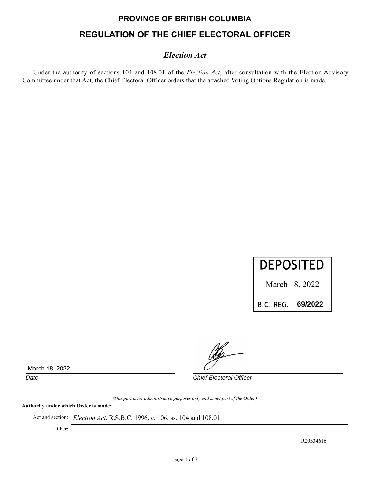# **PROVINCE OF BRITISH COLUMBIA REGULATION OF THE CHIEF ELECTORAL OFFICER**

# *Election Act*

Under the authority of sections 104 and 108.01 of the *Election Act*, after consultation with the Election Advisory Committee under that Act, the Chief Electoral Officer orders that the attached Voting Options Regulation is made.



March 18, 2022

B.C.REG.\_\_\_\_\_\_\_\_\_\_ **69/2022**

March 18, 2022

*Date Chief Electoral Officer*

*(This part is for administrative purposes only and is not part of the Order.)*

**Authority under which Order is made:**

Act and section: *Election Act*, R.S.B.C. 1996, c. 106, ss. 104 and 108.01

Other:

R20534616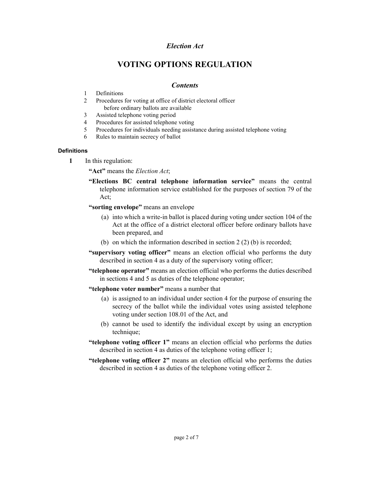# *Election Act*

# **VOTING OPTIONS REGULATION**

## *Contents*

- 1 Definitions
- 2 Procedures for voting at office of district electoral officer before ordinary ballots are available
- 3 Assisted telephone voting period
- 4 Procedures for assisted telephone voting
- 5 Procedures for individuals needing assistance during assisted telephone voting
- 6 Rules to maintain secrecy of ballot

#### **Definitions**

**1** In this regulation:

**"Act"** means the *Election Act*;

- **"Elections BC central telephone information service"** means the central telephone information service established for the purposes of section 79 of the Act;
- **"sorting envelope"** means an envelope
	- (a) into which a write-in ballot is placed during voting under section 104 of the Act at the office of a district electoral officer before ordinary ballots have been prepared, and
	- (b) on which the information described in section 2 (2) (b) is recorded;
- **"supervisory voting officer"** means an election official who performs the duty described in section 4 as a duty of the supervisory voting officer;
- **"telephone operator"** means an election official who performs the duties described in sections 4 and 5 as duties of the telephone operator;
- **"telephone voter number"** means a number that
	- (a) is assigned to an individual under section 4 for the purpose of ensuring the secrecy of the ballot while the individual votes using assisted telephone voting under section 108.01 of the Act, and
	- (b) cannot be used to identify the individual except by using an encryption technique;
- **"telephone voting officer 1"** means an election official who performs the duties described in section 4 as duties of the telephone voting officer 1;
- **"telephone voting officer 2"** means an election official who performs the duties described in section 4 as duties of the telephone voting officer 2.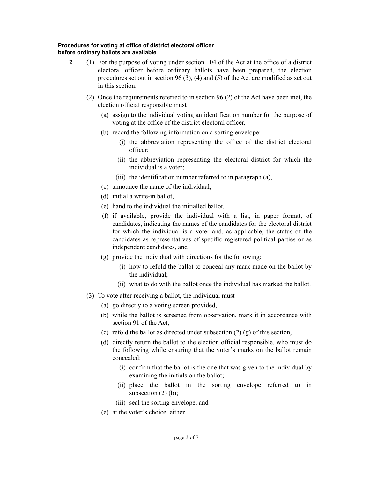## **Procedures for voting at office of district electoral officer before ordinary ballots are available**

- **2** (1) For the purpose of voting under section 104 of the Act at the office of a district electoral officer before ordinary ballots have been prepared, the election procedures set out in section 96 (3), (4) and (5) of the Act are modified as set out in this section.
	- (2) Once the requirements referred to in section 96 (2) of the Act have been met, the election official responsible must
		- (a) assign to the individual voting an identification number for the purpose of voting at the office of the district electoral officer,
		- (b) record the following information on a sorting envelope:
			- (i) the abbreviation representing the office of the district electoral officer;
			- (ii) the abbreviation representing the electoral district for which the individual is a voter;
			- (iii) the identification number referred to in paragraph (a),
		- (c) announce the name of the individual,
		- (d) initial a write-in ballot,
		- (e) hand to the individual the initialled ballot,
		- (f) if available, provide the individual with a list, in paper format, of candidates, indicating the names of the candidates for the electoral district for which the individual is a voter and, as applicable, the status of the candidates as representatives of specific registered political parties or as independent candidates, and
		- (g) provide the individual with directions for the following:
			- (i) how to refold the ballot to conceal any mark made on the ballot by the individual;
			- (ii) what to do with the ballot once the individual has marked the ballot.
	- (3) To vote after receiving a ballot, the individual must
		- (a) go directly to a voting screen provided,
		- (b) while the ballot is screened from observation, mark it in accordance with section 91 of the Act,
		- (c) refold the ballot as directed under subsection  $(2)$  (g) of this section,
		- (d) directly return the ballot to the election official responsible, who must do the following while ensuring that the voter's marks on the ballot remain concealed:
			- (i) confirm that the ballot is the one that was given to the individual by examining the initials on the ballot;
			- (ii) place the ballot in the sorting envelope referred to in subsection  $(2)$  (b);
			- (iii) seal the sorting envelope, and
		- (e) at the voter's choice, either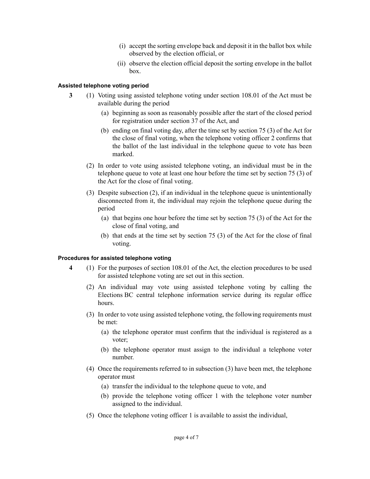- (i) accept the sorting envelope back and deposit it in the ballot box while observed by the election official, or
- (ii) observe the election official deposit the sorting envelope in the ballot box.

#### **Assisted telephone voting period**

- **3** (1) Voting using assisted telephone voting under section 108.01 of the Act must be available during the period
	- (a) beginning as soon as reasonably possible after the start of the closed period for registration under section 37 of the Act, and
	- (b) ending on final voting day, after the time set by section 75 (3) of the Act for the close of final voting, when the telephone voting officer 2 confirms that the ballot of the last individual in the telephone queue to vote has been marked.
	- (2) In order to vote using assisted telephone voting, an individual must be in the telephone queue to vote at least one hour before the time set by section 75 (3) of the Act for the close of final voting.
	- (3) Despite subsection (2), if an individual in the telephone queue is unintentionally disconnected from it, the individual may rejoin the telephone queue during the period
		- (a) that begins one hour before the time set by section 75 (3) of the Act for the close of final voting, and
		- (b) that ends at the time set by section 75 (3) of the Act for the close of final voting.

#### **Procedures for assisted telephone voting**

- **4** (1) For the purposes of section 108.01 of the Act, the election procedures to be used for assisted telephone voting are set out in this section.
	- (2) An individual may vote using assisted telephone voting by calling the Elections BC central telephone information service during its regular office hours.
	- (3) In order to vote using assisted telephone voting, the following requirements must be met:
		- (a) the telephone operator must confirm that the individual is registered as a voter;
		- (b) the telephone operator must assign to the individual a telephone voter number.
	- (4) Once the requirements referred to in subsection (3) have been met, the telephone operator must
		- (a) transfer the individual to the telephone queue to vote, and
		- (b) provide the telephone voting officer 1 with the telephone voter number assigned to the individual.
	- (5) Once the telephone voting officer 1 is available to assist the individual,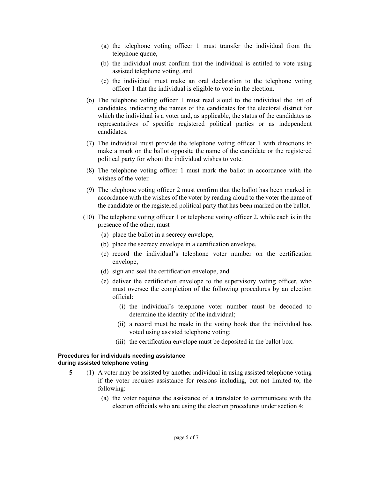- (a) the telephone voting officer 1 must transfer the individual from the telephone queue,
- (b) the individual must confirm that the individual is entitled to vote using assisted telephone voting, and
- (c) the individual must make an oral declaration to the telephone voting officer 1 that the individual is eligible to vote in the election.
- (6) The telephone voting officer 1 must read aloud to the individual the list of candidates, indicating the names of the candidates for the electoral district for which the individual is a voter and, as applicable, the status of the candidates as representatives of specific registered political parties or as independent candidates.
- (7) The individual must provide the telephone voting officer 1 with directions to make a mark on the ballot opposite the name of the candidate or the registered political party for whom the individual wishes to vote.
- (8) The telephone voting officer 1 must mark the ballot in accordance with the wishes of the voter.
- (9) The telephone voting officer 2 must confirm that the ballot has been marked in accordance with the wishes of the voter by reading aloud to the voter the name of the candidate or the registered political party that has been marked on the ballot.
- (10) The telephone voting officer 1 or telephone voting officer 2, while each is in the presence of the other, must
	- (a) place the ballot in a secrecy envelope,
	- (b) place the secrecy envelope in a certification envelope,
	- (c) record the individual's telephone voter number on the certification envelope,
	- (d) sign and seal the certification envelope, and
	- (e) deliver the certification envelope to the supervisory voting officer, who must oversee the completion of the following procedures by an election official:
		- (i) the individual's telephone voter number must be decoded to determine the identity of the individual;
		- (ii) a record must be made in the voting book that the individual has voted using assisted telephone voting;
		- (iii) the certification envelope must be deposited in the ballot box.

#### **Procedures for individuals needing assistance during assisted telephone voting**

- **5** (1) A voter may be assisted by another individual in using assisted telephone voting if the voter requires assistance for reasons including, but not limited to, the following:
	- (a) the voter requires the assistance of a translator to communicate with the election officials who are using the election procedures under section 4;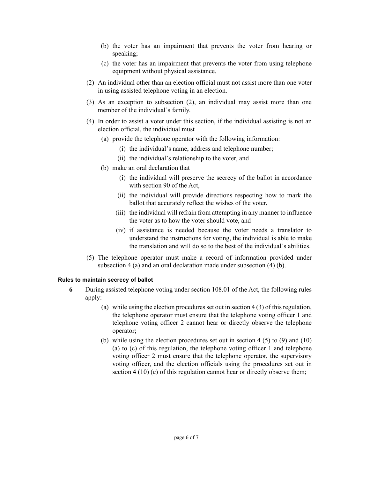- (b) the voter has an impairment that prevents the voter from hearing or speaking;
- (c) the voter has an impairment that prevents the voter from using telephone equipment without physical assistance.
- (2) An individual other than an election official must not assist more than one voter in using assisted telephone voting in an election.
- (3) As an exception to subsection (2), an individual may assist more than one member of the individual's family.
- (4) In order to assist a voter under this section, if the individual assisting is not an election official, the individual must
	- (a) provide the telephone operator with the following information:
		- (i) the individual's name, address and telephone number;
		- (ii) the individual's relationship to the voter, and
	- (b) make an oral declaration that
		- (i) the individual will preserve the secrecy of the ballot in accordance with section 90 of the Act,
		- (ii) the individual will provide directions respecting how to mark the ballot that accurately reflect the wishes of the voter,
		- (iii) the individual will refrain from attempting in any manner to influence the voter as to how the voter should vote, and
		- (iv) if assistance is needed because the voter needs a translator to understand the instructions for voting, the individual is able to make the translation and will do so to the best of the individual's abilities.
- (5) The telephone operator must make a record of information provided under subsection 4 (a) and an oral declaration made under subsection (4) (b).

### **Rules to maintain secrecy of ballot**

- **6** During assisted telephone voting under section 108.01 of the Act, the following rules apply:
	- (a) while using the election procedures set out in section  $4(3)$  of this regulation, the telephone operator must ensure that the telephone voting officer 1 and telephone voting officer 2 cannot hear or directly observe the telephone operator;
	- (b) while using the election procedures set out in section 4 (5) to (9) and (10) (a) to (c) of this regulation, the telephone voting officer 1 and telephone voting officer 2 must ensure that the telephone operator, the supervisory voting officer, and the election officials using the procedures set out in section 4 (10) (e) of this regulation cannot hear or directly observe them;